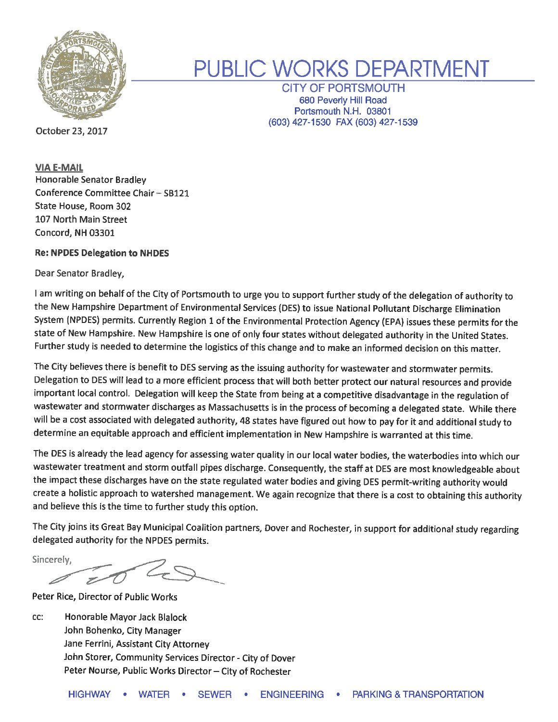

# PUBLIC WORKS DEPARTMENT

**CITY OF PORTSMOUTH** 680 Peverly Hill Road Portsmouth N.H. 03801 (603) 427-1530 FAX (603) 427-1539

October 23, 2017

**VIA E-MAIL** Honorable Senator Bradley Conference Committee Chair - SB121 State House, Room 302 107 North Main Street Concord, NH 03301

## **Re: NPDES Delegation to NHDES**

Dear Senator Bradley,

I am writing on behalf of the City of Portsmouth to urge you to support further study of the delegation of authority to the New Hampshire Department of Environmental Services (DES) to issue National Pollutant Discharge Elimination System (NPDES) permits. Currently Region 1 of the Environmental Protection Agency (EPA) issues these permits for the state of New Hampshire. New Hampshire is one of only four states without delegated authority in the United States. Further study is needed to determine the logistics of this change and to make an informed decision on this matter.

The City believes there is benefit to DES serving as the issuing authority for wastewater and stormwater permits. Delegation to DES will lead to a more efficient process that will both better protect our natural resources and provide important local control. Delegation will keep the State from being at a competitive disadvantage in the regulation of wastewater and stormwater discharges as Massachusetts is in the process of becoming a delegated state. While there will be a cost associated with delegated authority, 48 states have figured out how to pay for it and additional study to determine an equitable approach and efficient implementation in New Hampshire is warranted at this time.

The DES is already the lead agency for assessing water quality in our local water bodies, the waterbodies into which our wastewater treatment and storm outfall pipes discharge. Consequently, the staff at DES are most knowledgeable about the impact these discharges have on the state regulated water bodies and giving DES permit-writing authority would create a holistic approach to watershed management. We again recognize that there is a cost to obtaining this authority and believe this is the time to further study this option.

The City joins its Great Bay Municipal Coalition partners, Dover and Rochester, in support for additional study regarding delegated authority for the NPDES permits.

Sincerely,

Peter Rice, Director of Public Works

cc: Honorable Mayor Jack Blalock John Bohenko, City Manager Jane Ferrini, Assistant City Attorney John Storer, Community Services Director - City of Dover Peter Nourse, Public Works Director - City of Rochester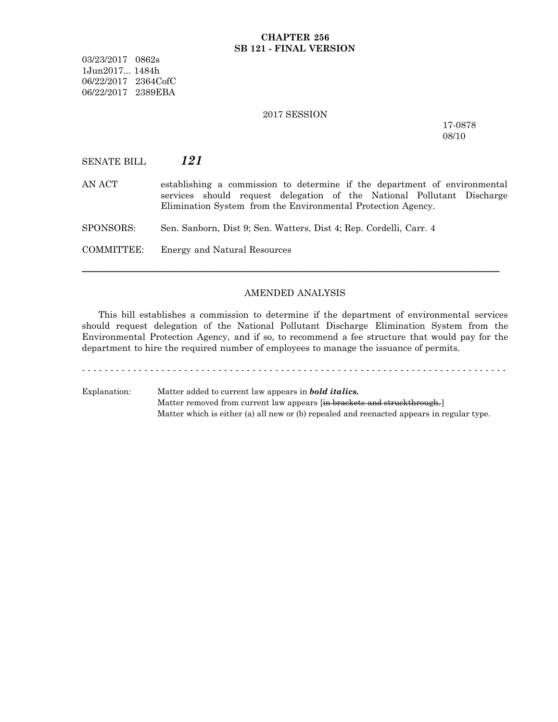#### **CHAPTER 256 SB 121 - FINAL VERSION**

03/23/2017 0862s 1Jun2017... 1484h 06/22/2017 2364CofC 06/22/2017 2389EBA

### 2017 SESSION

17-0878 08/10

SENATE BILL *121*

AN ACT establishing a commission to determine if the department of environmental services should request delegation of the National Pollutant Discharge Elimination System from the Environmental Protection Agency.

SPONSORS: Sen. Sanborn, Dist 9; Sen. Watters, Dist 4; Rep. Cordelli, Carr. 4

COMMITTEE: Energy and Natural Resources

#### AMENDED ANALYSIS

─────────────────────────────────────────────────────────────────

This bill establishes a commission to determine if the department of environmental services should request delegation of the National Pollutant Discharge Elimination System from the Environmental Protection Agency, and if so, to recommend a fee structure that would pay for the department to hire the required number of employees to manage the issuance of permits.

- - - - - - - - - - - - - - - - - - - - - - - - - - - - - - - - - - - - - - - - - - - - - - - - - - - - - - - - - - - - - - - - - - - - - - - - - - -

Explanation: Matter added to current law appears in *bold italics.* Matter removed from current law appears [in brackets and struckthrough.] Matter which is either (a) all new or (b) repealed and reenacted appears in regular type.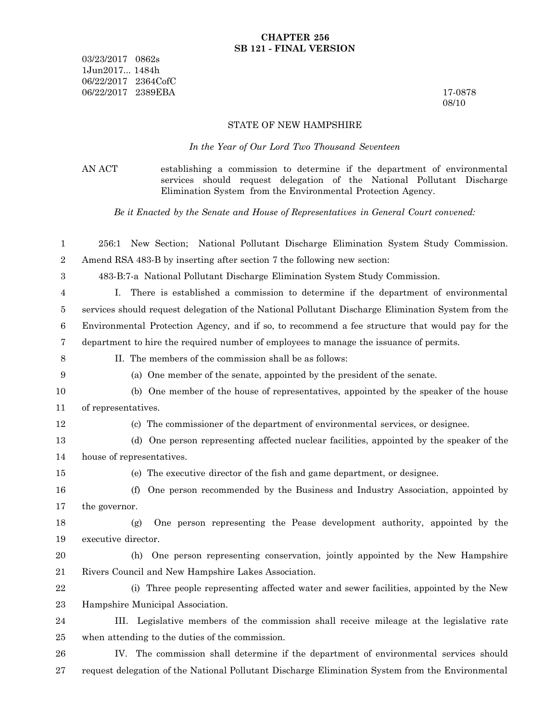03/23/2017 0862s 1Jun2017... 1484h 06/22/2017 2364CofC 06/22/2017 2389EBA 17-0878

08/10

#### STATE OF NEW HAMPSHIRE

*In the Year of Our Lord Two Thousand Seventeen*

AN ACT establishing a commission to determine if the department of environmental services should request delegation of the National Pollutant Discharge Elimination System from the Environmental Protection Agency.

*Be it Enacted by the Senate and House of Representatives in General Court convened:*

| 1                | 256:1 New Section; National Pollutant Discharge Elimination System Study Commission.               |
|------------------|----------------------------------------------------------------------------------------------------|
| 2                | Amend RSA 483-B by inserting after section 7 the following new section:                            |
| $\boldsymbol{3}$ | 483-B:7-a National Pollutant Discharge Elimination System Study Commission.                        |
| 4                | There is established a commission to determine if the department of environmental<br>L.            |
| 5                | services should request delegation of the National Pollutant Discharge Elimination System from the |
| $\,6$            | Environmental Protection Agency, and if so, to recommend a fee structure that would pay for the    |
| 7                | department to hire the required number of employees to manage the issuance of permits.             |
| $8\,$            | II. The members of the commission shall be as follows:                                             |
| 9                | (a) One member of the senate, appointed by the president of the senate.                            |
| 10               | (b) One member of the house of representatives, appointed by the speaker of the house              |
| 11               | of representatives.                                                                                |
| 12               | (c) The commissioner of the department of environmental services, or designee.                     |
| 13               | (d) One person representing affected nuclear facilities, appointed by the speaker of the           |
| 14               | house of representatives.                                                                          |
| $15\,$           | (e) The executive director of the fish and game department, or designee.                           |
| 16               | One person recommended by the Business and Industry Association, appointed by<br>(f)               |
| $17\,$           | the governor.                                                                                      |
| 18               | One person representing the Pease development authority, appointed by the<br>(g)                   |
| 19               | executive director.                                                                                |
| 20               | One person representing conservation, jointly appointed by the New Hampshire<br>(h)                |
| 21               | Rivers Council and New Hampshire Lakes Association.                                                |
| 22               | (i) Three people representing affected water and sewer facilities, appointed by the New            |
| 23               | Hampshire Municipal Association.                                                                   |
| 24               | III. Legislative members of the commission shall receive mileage at the legislative rate           |
| 25               | when attending to the duties of the commission.                                                    |
| 26               | IV. The commission shall determine if the department of environmental services should              |
| 27               | request delegation of the National Pollutant Discharge Elimination System from the Environmental   |